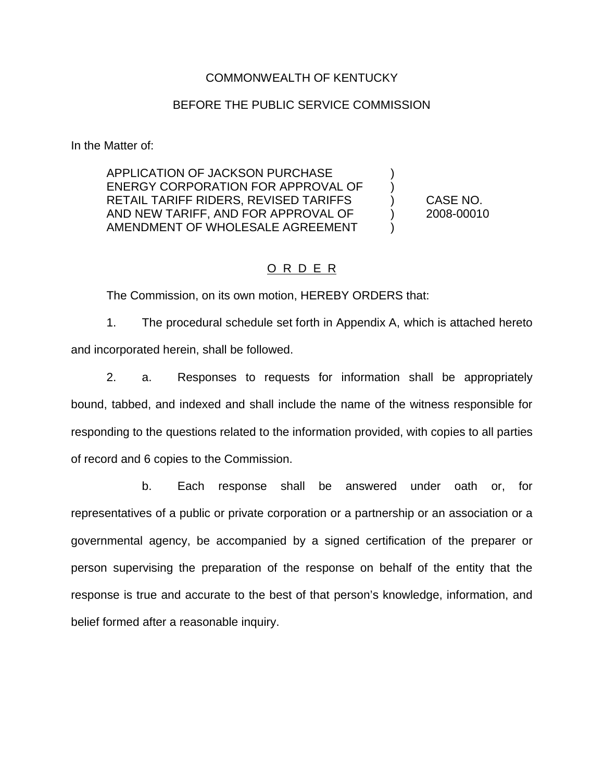#### COMMONWEALTH OF KENTUCKY

#### BEFORE THE PUBLIC SERVICE COMMISSION

In the Matter of:

APPLICATION OF JACKSON PURCHASE ) ENERGY CORPORATION FOR APPROVAL OF RETAIL TARIFF RIDERS, REVISED TARIFFS ) CASE NO. AND NEW TARIFF, AND FOR APPROVAL OF  $\qquad \qquad$  2008-00010 AMENDMENT OF WHOLESALE AGREEMENT

### O R D E R

The Commission, on its own motion, HEREBY ORDERS that:

1. The procedural schedule set forth in Appendix A, which is attached hereto and incorporated herein, shall be followed.

2. a. Responses to requests for information shall be appropriately bound, tabbed, and indexed and shall include the name of the witness responsible for responding to the questions related to the information provided, with copies to all parties of record and 6 copies to the Commission.

b. Each response shall be answered under oath or, for representatives of a public or private corporation or a partnership or an association or a governmental agency, be accompanied by a signed certification of the preparer or person supervising the preparation of the response on behalf of the entity that the response is true and accurate to the best of that person's knowledge, information, and belief formed after a reasonable inquiry.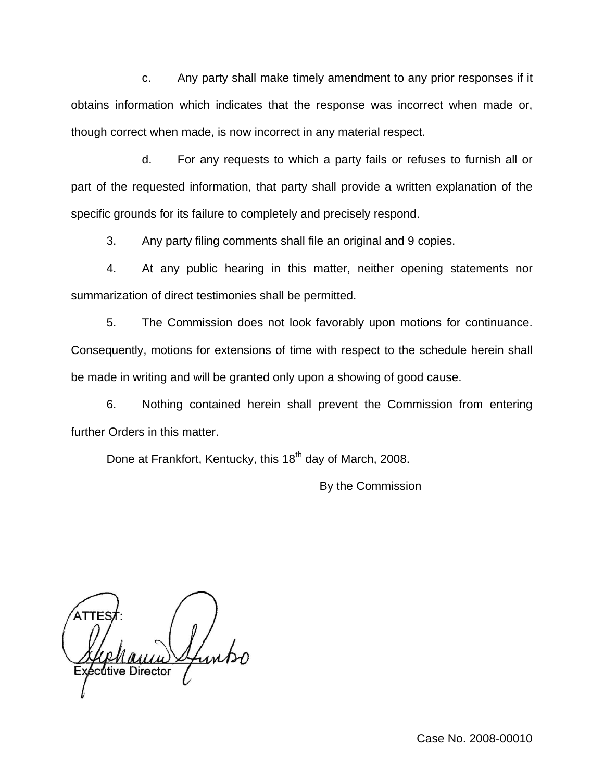c. Any party shall make timely amendment to any prior responses if it obtains information which indicates that the response was incorrect when made or, though correct when made, is now incorrect in any material respect.

d. For any requests to which a party fails or refuses to furnish all or part of the requested information, that party shall provide a written explanation of the specific grounds for its failure to completely and precisely respond.

3. Any party filing comments shall file an original and 9 copies.

4. At any public hearing in this matter, neither opening statements nor summarization of direct testimonies shall be permitted.

5. The Commission does not look favorably upon motions for continuance. Consequently, motions for extensions of time with respect to the schedule herein shall be made in writing and will be granted only upon a showing of good cause.

6. Nothing contained herein shall prevent the Commission from entering further Orders in this matter.

Done at Frankfort, Kentucky, this 18<sup>th</sup> day of March, 2008.

By the Commission

cutive Director